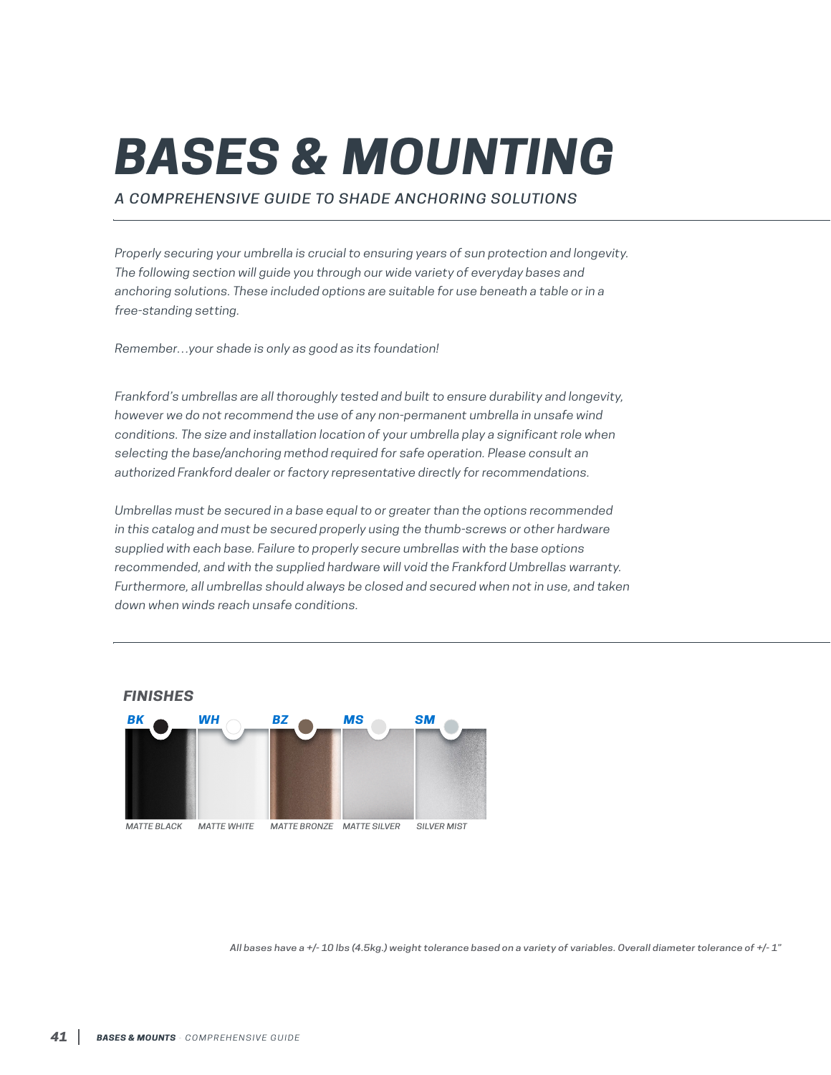# *BASES & MOUNTING*

*A COMPREHENSIVE GUIDE TO SHADE ANCHORING SOLUTIONS*

*Properly securing your umbrella is crucial to ensuring years of sun protection and longevity. The following section will guide you through our wide variety of everyday bases and anchoring solutions. These included options are suitable for use beneath a table or in a free-standing setting.*

*Remember…your shade is only as good as its foundation!*

*Frankford's umbrellas are all thoroughly tested and built to ensure durability and longevity, however we do not recommend the use of any non-permanent umbrella in unsafe wind conditions. The size and installation location of your umbrella play a significant role when selecting the base/anchoring method required for safe operation. Please consult an authorized Frankford dealer or factory representative directly for recommendations.*

*Umbrellas must be secured in a base equal to or greater than the options recommended in this catalog and must be secured properly using the thumb-screws or other hardware supplied with each base. Failure to properly secure umbrellas with the base options recommended, and with the supplied hardware will void the Frankford Umbrellas warranty. Furthermore, all umbrellas should always be closed and secured when not in use, and taken down when winds reach unsafe conditions.*



*All bases have a +/- 10 lbs (4.5kg.) weight tolerance based on a variety of variables. Overall diameter tolerance of +/- 1"*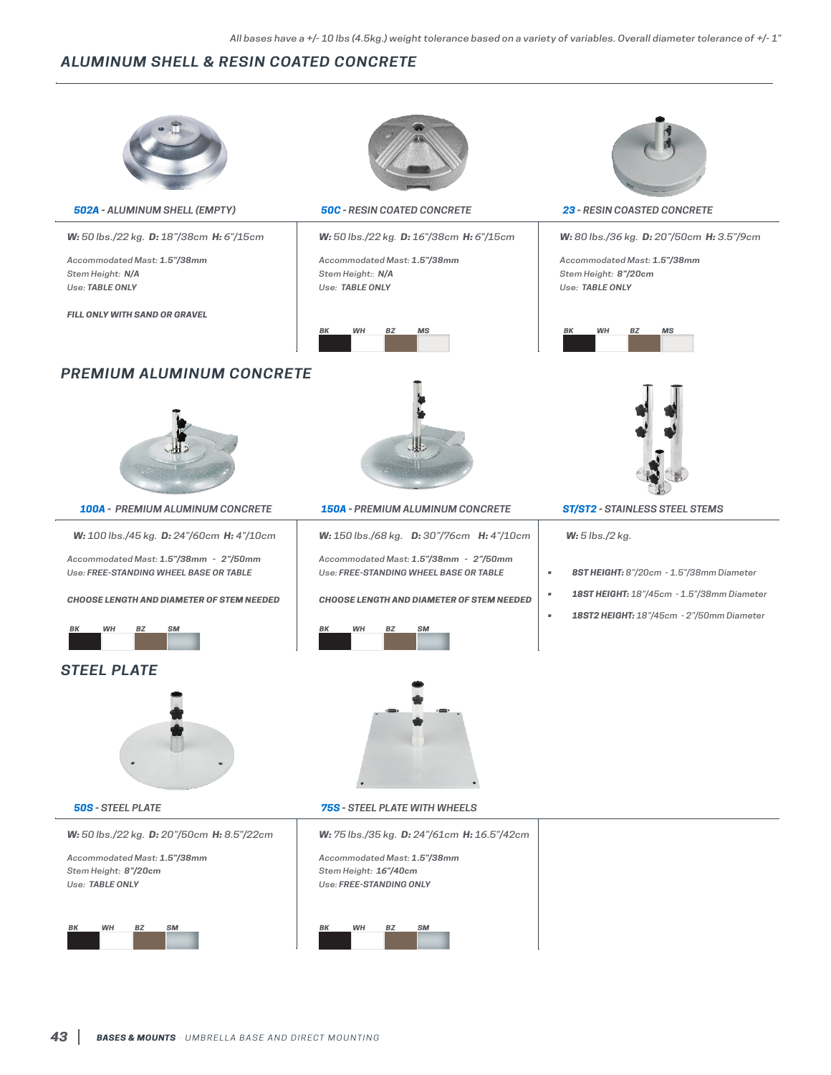# *ALUMINUM SHELL & RESIN COATED CONCRETE*



*502A - ALUMINUM SHELL (EMPTY) 50C - RESIN COATED CONCRETE 23 - RESIN COASTED CONCRETE*

*W: 50 lbs./22 kg. D: 18"/38cm H: 6"/15cm* 

*Accommodated Mast: 1.5"/38mm Stem Height: N/A Use: TABLE ONLY*

*FILL ONLY WITH SAND OR GRAVEL*



*W: 50 lbs./22 kg. D: 16"/38cm H: 6"/15cm* 

*Accommodated Mast: 1.5"/38mm Stem Height:*: *N/A Use: TABLE ONLY*





*W: 80 lbs./36 kg. D: 20"/50cm H: 3.5"/9cm* 

*Accommodated Mast: 1.5"/38mm Stem Height: 8"/20cm Use: TABLE ONLY*



## *PREMIUM ALUMINUM CONCRETE*



*100A - PREMIUM ALUMINUM CONCRETE 150A - PREMIUM ALUMINUM CONCRETE ST/ST2 - STAINLESS STEEL STEMS*

*W: 100 lbs./45 kg. D: 24"/60cm H: 4"/10cm*

*Accommodated Mast: 1.5"/38mm - 2"/50mm Use: FREE-STANDING WHEEL BASE OR TABLE*

*CHOOSE LENGTH AND DIAMETER OF STEM NEEDED*



## *STEEL PLATE*



*W: 50 lbs./22 kg. D: 20"/50cm H: 8.5"/22cm*

*Accommodated Mast: 1.5"/38mm Stem Height: 8"/20cm Use: TABLE ONLY*





*W: 150 lbs./68 kg. D: 30"/76cm H: 4"/10cm Accommodated Mast: 1.5"/38mm - 2"/50mm Use: FREE-STANDING WHEEL BASE OR TABLE*

*CHOOSE LENGTH AND DIAMETER OF STEM NEEDED*

*50S - STEEL PLATE 75S - STEEL PLATE WITH WHEELS*

*W: 75 lbs./35 kg. D: 24"/61cm H: 16.5"/42cm Accommodated Mast: 1.5"/38mm Stem Height: 16"/40cm Use: FREE-STANDING ONLY*



*W: 5 lbs./2 kg.*

- *• 8ST HEIGHT: 8"/20cm 1.5"/38mm Diameter*
- *• 18ST HEIGHT: 18"/45cm 1.5"/38mm Diameter*
- *• 18ST2 HEIGHT: 18"/45cm 2"/50mm Diameter*